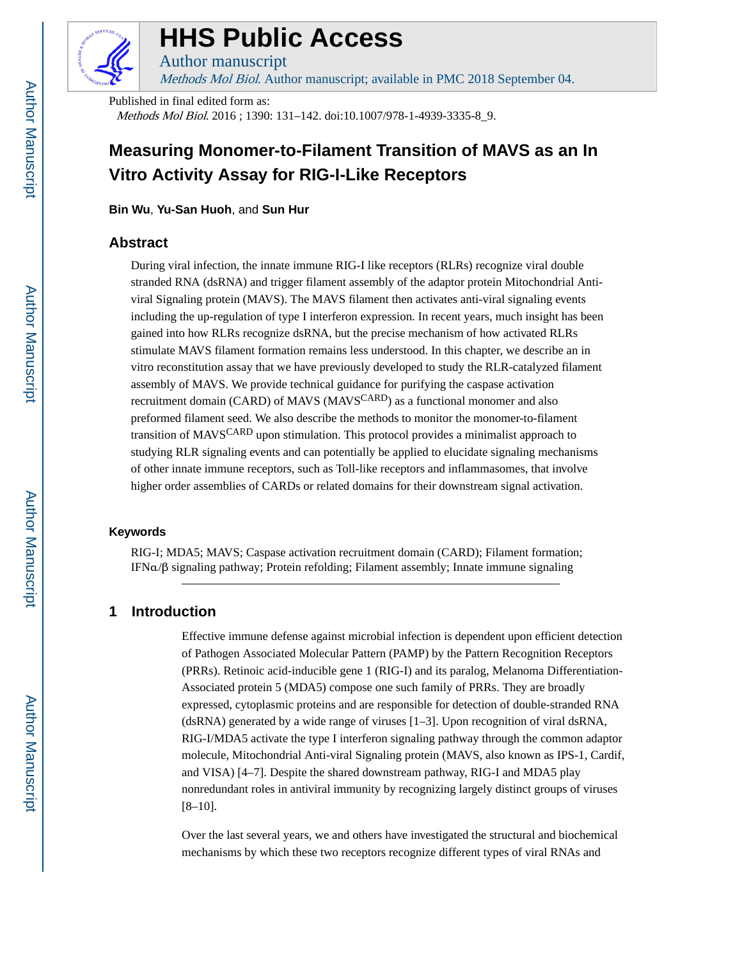

# **HHS Public Access**

Author manuscript Methods Mol Biol. Author manuscript; available in PMC 2018 September 04.

Published in final edited form as: Methods Mol Biol. 2016 ; 1390: 131–142. doi:10.1007/978-1-4939-3335-8\_9.

# **Measuring Monomer-to-Filament Transition of MAVS as an In Vitro Activity Assay for RIG-I-Like Receptors**

**Bin Wu**, **Yu-San Huoh**, and **Sun Hur**

# **Abstract**

During viral infection, the innate immune RIG-I like receptors (RLRs) recognize viral double stranded RNA (dsRNA) and trigger filament assembly of the adaptor protein Mitochondrial Antiviral Signaling protein (MAVS). The MAVS filament then activates anti-viral signaling events including the up-regulation of type I interferon expression. In recent years, much insight has been gained into how RLRs recognize dsRNA, but the precise mechanism of how activated RLRs stimulate MAVS filament formation remains less understood. In this chapter, we describe an in vitro reconstitution assay that we have previously developed to study the RLR-catalyzed filament assembly of MAVS. We provide technical guidance for purifying the caspase activation recruitment domain (CARD) of MAVS (MAVS<sup>CARD</sup>) as a functional monomer and also preformed filament seed. We also describe the methods to monitor the monomer-to-filament transition of MAVSCARD upon stimulation. This protocol provides a minimalist approach to studying RLR signaling events and can potentially be applied to elucidate signaling mechanisms of other innate immune receptors, such as Toll-like receptors and inflammasomes, that involve higher order assemblies of CARDs or related domains for their downstream signal activation.

#### **Keywords**

RIG-I; MDA5; MAVS; Caspase activation recruitment domain (CARD); Filament formation; IFNα/β signaling pathway; Protein refolding; Filament assembly; Innate immune signaling

# **1 Introduction**

Effective immune defense against microbial infection is dependent upon efficient detection of Pathogen Associated Molecular Pattern (PAMP) by the Pattern Recognition Receptors (PRRs). Retinoic acid-inducible gene 1 (RIG-I) and its paralog, Melanoma Differentiation-Associated protein 5 (MDA5) compose one such family of PRRs. They are broadly expressed, cytoplasmic proteins and are responsible for detection of double-stranded RNA (dsRNA) generated by a wide range of viruses [1–3]. Upon recognition of viral dsRNA, RIG-I/MDA5 activate the type I interferon signaling pathway through the common adaptor molecule, Mitochondrial Anti-viral Signaling protein (MAVS, also known as IPS-1, Cardif, and VISA) [4–7]. Despite the shared downstream pathway, RIG-I and MDA5 play nonredundant roles in antiviral immunity by recognizing largely distinct groups of viruses [8–10].

Over the last several years, we and others have investigated the structural and biochemical mechanisms by which these two receptors recognize different types of viral RNAs and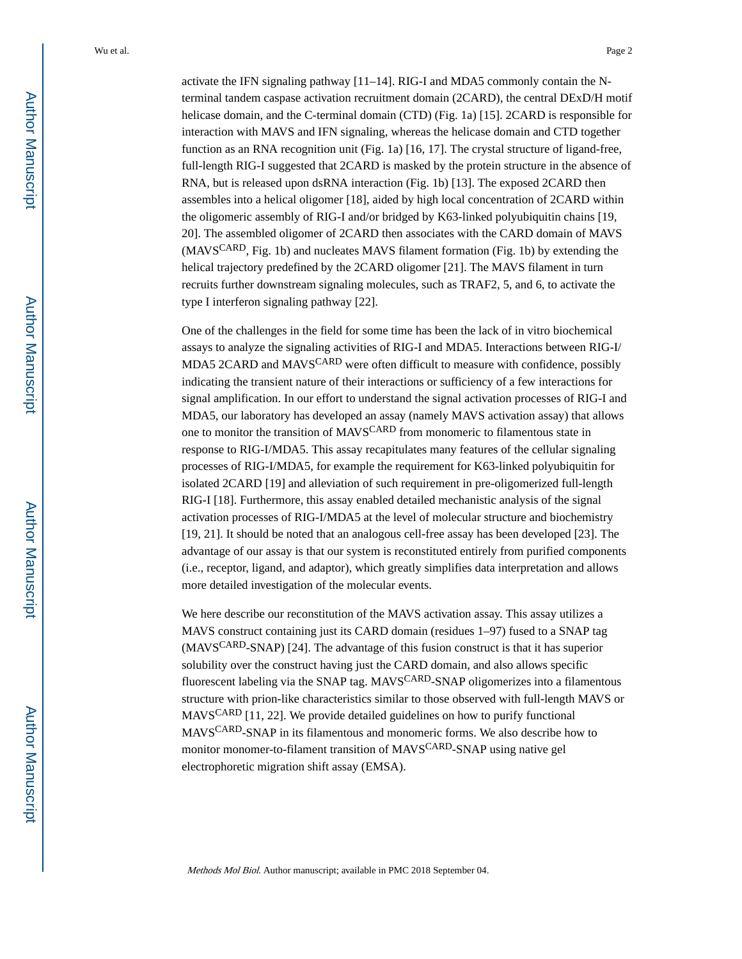activate the IFN signaling pathway [11–14]. RIG-I and MDA5 commonly contain the Nterminal tandem caspase activation recruitment domain (2CARD), the central DExD/H motif helicase domain, and the C-terminal domain (CTD) (Fig. 1a) [15]. 2CARD is responsible for interaction with MAVS and IFN signaling, whereas the helicase domain and CTD together function as an RNA recognition unit (Fig. 1a) [16, 17]. The crystal structure of ligand-free, full-length RIG-I suggested that 2CARD is masked by the protein structure in the absence of RNA, but is released upon dsRNA interaction (Fig. 1b) [13]. The exposed 2CARD then assembles into a helical oligomer [18], aided by high local concentration of 2CARD within the oligomeric assembly of RIG-I and/or bridged by K63-linked polyubiquitin chains [19, 20]. The assembled oligomer of 2CARD then associates with the CARD domain of MAVS (MAVS<sup>CARD</sup>, Fig. 1b) and nucleates MAVS filament formation (Fig. 1b) by extending the helical trajectory predefined by the 2CARD oligomer [21]. The MAVS filament in turn recruits further downstream signaling molecules, such as TRAF2, 5, and 6, to activate the type I interferon signaling pathway [22].

One of the challenges in the field for some time has been the lack of in vitro biochemical assays to analyze the signaling activities of RIG-I and MDA5. Interactions between RIG-I/ MDA5 2CARD and MAVS<sup>CARD</sup> were often difficult to measure with confidence, possibly indicating the transient nature of their interactions or sufficiency of a few interactions for signal amplification. In our effort to understand the signal activation processes of RIG-I and MDA5, our laboratory has developed an assay (namely MAVS activation assay) that allows one to monitor the transition of MAVSCARD from monomeric to filamentous state in response to RIG-I/MDA5. This assay recapitulates many features of the cellular signaling processes of RIG-I/MDA5, for example the requirement for K63-linked polyubiquitin for isolated 2CARD [19] and alleviation of such requirement in pre-oligomerized full-length RIG-I [18]. Furthermore, this assay enabled detailed mechanistic analysis of the signal activation processes of RIG-I/MDA5 at the level of molecular structure and biochemistry [19, 21]. It should be noted that an analogous cell-free assay has been developed [23]. The advantage of our assay is that our system is reconstituted entirely from purified components (i.e., receptor, ligand, and adaptor), which greatly simplifies data interpretation and allows more detailed investigation of the molecular events.

We here describe our reconstitution of the MAVS activation assay. This assay utilizes a MAVS construct containing just its CARD domain (residues 1–97) fused to a SNAP tag (MAVSCARD-SNAP) [24]. The advantage of this fusion construct is that it has superior solubility over the construct having just the CARD domain, and also allows specific fluorescent labeling via the SNAP tag. MAVSCARD-SNAP oligomerizes into a filamentous structure with prion-like characteristics similar to those observed with full-length MAVS or MAVSCARD [11, 22]. We provide detailed guidelines on how to purify functional MAVSCARD-SNAP in its filamentous and monomeric forms. We also describe how to monitor monomer-to-filament transition of MAVS<sup>CARD</sup>-SNAP using native gel electrophoretic migration shift assay (EMSA).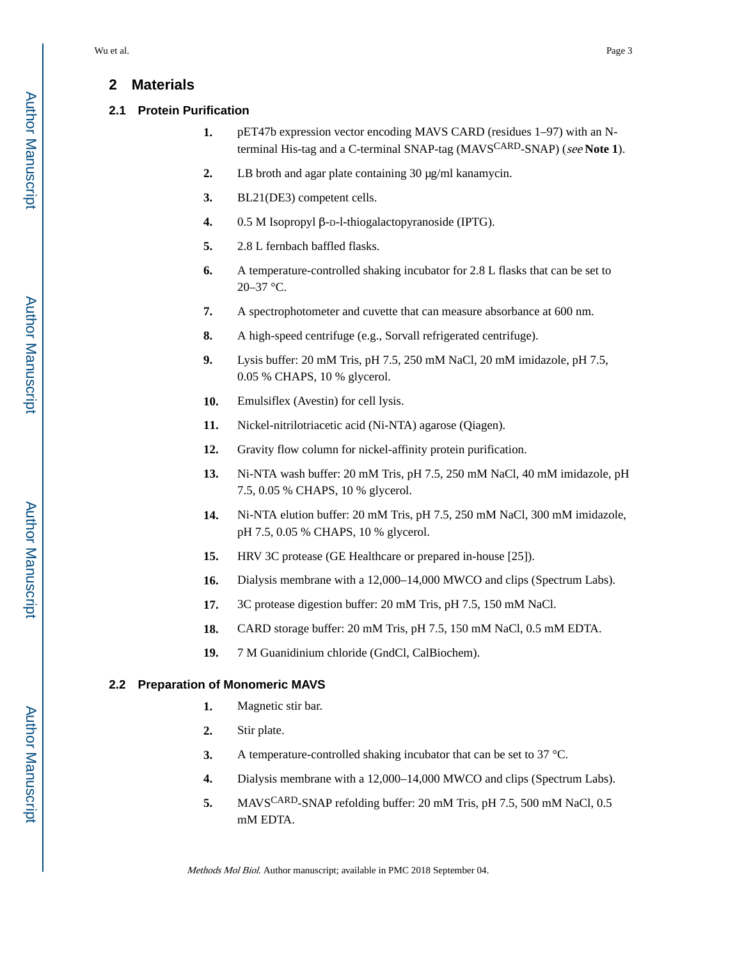# **2 Materials**

#### **2.1 Protein Purification**

- **1.** pET47b expression vector encoding MAVS CARD (residues 1–97) with an Nterminal His-tag and a C-terminal SNAP-tag (MAVSCARD-SNAP) (see **Note 1**).
- **2.** LB broth and agar plate containing 30 μg/ml kanamycin.
- **3.** BL21(DE3) competent cells.
- **4.** 0.5 M Isopropyl β-D-l-thiogalactopyranoside (IPTG).
- **5.** 2.8 L fernbach baffled flasks.
- **6.** A temperature-controlled shaking incubator for 2.8 L flasks that can be set to 20–37 °C.
- **7.** A spectrophotometer and cuvette that can measure absorbance at 600 nm.
- **8.** A high-speed centrifuge (e.g., Sorvall refrigerated centrifuge).
- **9.** Lysis buffer: 20 mM Tris, pH 7.5, 250 mM NaCl, 20 mM imidazole, pH 7.5, 0.05 % CHAPS, 10 % glycerol.
- **10.** Emulsiflex (Avestin) for cell lysis.
- **11.** Nickel-nitrilotriacetic acid (Ni-NTA) agarose (Qiagen).
- **12.** Gravity flow column for nickel-affinity protein purification.
- **13.** Ni-NTA wash buffer: 20 mM Tris, pH 7.5, 250 mM NaCl, 40 mM imidazole, pH 7.5, 0.05 % CHAPS, 10 % glycerol.
- **14.** Ni-NTA elution buffer: 20 mM Tris, pH 7.5, 250 mM NaCl, 300 mM imidazole, pH 7.5, 0.05 % CHAPS, 10 % glycerol.
- **15.** HRV 3C protease (GE Healthcare or prepared in-house [25]).
- **16.** Dialysis membrane with a 12,000–14,000 MWCO and clips (Spectrum Labs).
- **17.** 3C protease digestion buffer: 20 mM Tris, pH 7.5, 150 mM NaCl.
- **18.** CARD storage buffer: 20 mM Tris, pH 7.5, 150 mM NaCl, 0.5 mM EDTA.
- **19.** 7 M Guanidinium chloride (GndCl, CalBiochem).

## **2.2 Preparation of Monomeric MAVS**

- **1.** Magnetic stir bar.
- **2.** Stir plate.
- **3.** A temperature-controlled shaking incubator that can be set to 37 °C.
- **4.** Dialysis membrane with a 12,000–14,000 MWCO and clips (Spectrum Labs).
- **5.** MAVSCARD-SNAP refolding buffer: 20 mM Tris, pH 7.5, 500 mM NaCl, 0.5 mM EDTA.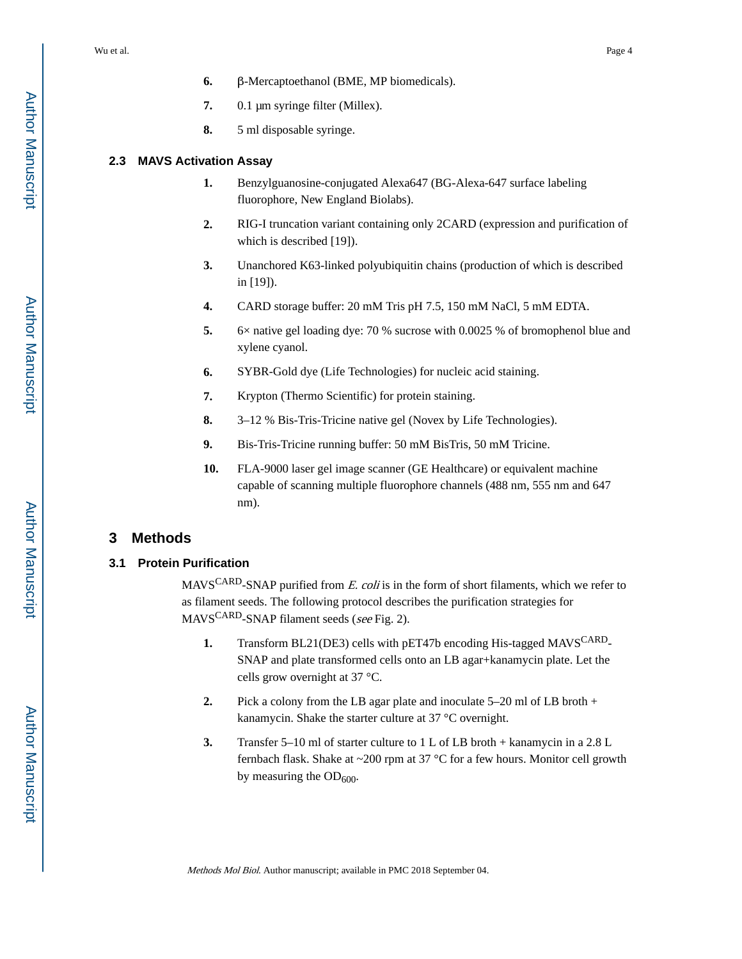- **7.** 0.1 μm syringe filter (Millex).
- **8.** 5 ml disposable syringe.

#### **2.3 MAVS Activation Assay**

- **1.** Benzylguanosine-conjugated Alexa647 (BG-Alexa-647 surface labeling fluorophore, New England Biolabs).
- **2.** RIG-I truncation variant containing only 2CARD (expression and purification of which is described [19]).
- **3.** Unanchored K63-linked polyubiquitin chains (production of which is described in [19]).
- **4.** CARD storage buffer: 20 mM Tris pH 7.5, 150 mM NaCl, 5 mM EDTA.
- **5.** 6× native gel loading dye: 70 % sucrose with 0.0025 % of bromophenol blue and xylene cyanol.
- **6.** SYBR-Gold dye (Life Technologies) for nucleic acid staining.
- **7.** Krypton (Thermo Scientific) for protein staining.
- **8.** 3–12 % Bis-Tris-Tricine native gel (Novex by Life Technologies).
- **9.** Bis-Tris-Tricine running buffer: 50 mM BisTris, 50 mM Tricine.
- **10.** FLA-9000 laser gel image scanner (GE Healthcare) or equivalent machine capable of scanning multiple fluorophore channels (488 nm, 555 nm and 647 nm).

## **3 Methods**

#### **3.1 Protein Purification**

MAVS<sup>CARD</sup>-SNAP purified from E. coli is in the form of short filaments, which we refer to as filament seeds. The following protocol describes the purification strategies for MAVSCARD-SNAP filament seeds (see Fig. 2).

- **1.** Transform BL21(DE3) cells with pET47b encoding His-tagged MAVS<sup>CARD</sup>-SNAP and plate transformed cells onto an LB agar+kanamycin plate. Let the cells grow overnight at 37 °C.
- **2.** Pick a colony from the LB agar plate and inoculate 5–20 ml of LB broth + kanamycin. Shake the starter culture at 37 °C overnight.
- **3.** Transfer 5–10 ml of starter culture to 1 L of LB broth + kanamycin in a 2.8 L fernbach flask. Shake at ~200 rpm at 37 °C for a few hours. Monitor cell growth by measuring the  $OD_{600}$ .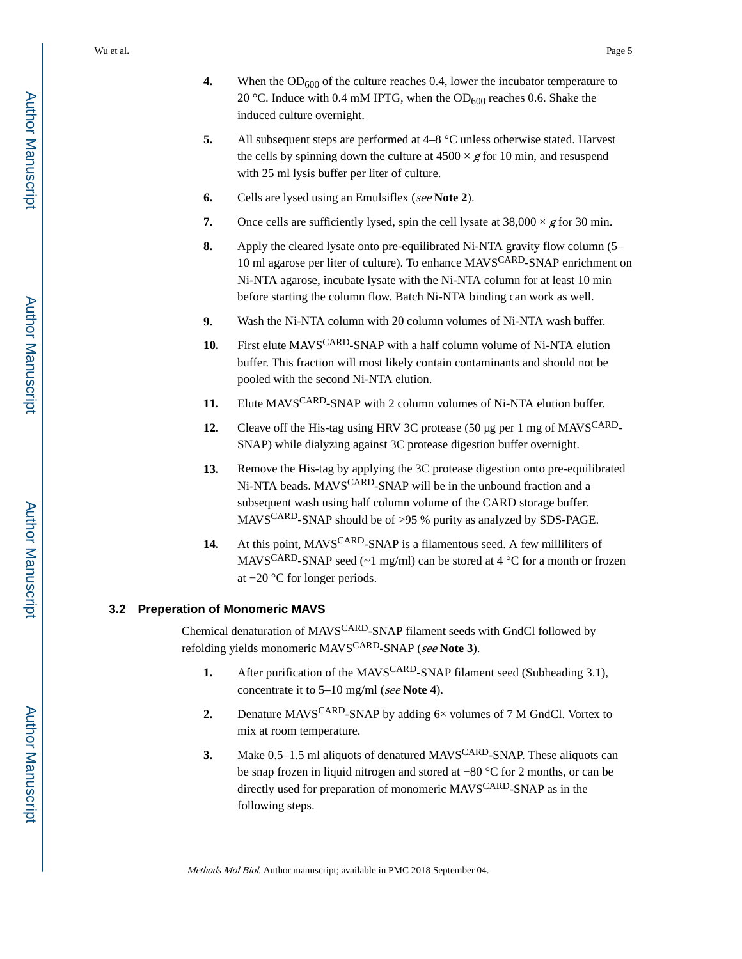- **4.** When the  $OD_{600}$  of the culture reaches 0.4, lower the incubator temperature to 20 °C. Induce with 0.4 mM IPTG, when the  $OD<sub>600</sub>$  reaches 0.6. Shake the induced culture overnight.
- **5.** All subsequent steps are performed at 4–8 °C unless otherwise stated. Harvest the cells by spinning down the culture at  $4500 \times g$  for 10 min, and resuspend with 25 ml lysis buffer per liter of culture.
- **6.** Cells are lysed using an Emulsiflex (see **Note 2**).
- **7.** Once cells are sufficiently lysed, spin the cell lysate at  $38,000 \times g$  for 30 min.
- **8.** Apply the cleared lysate onto pre-equilibrated Ni-NTA gravity flow column (5– 10 ml agarose per liter of culture). To enhance MAVSCARD-SNAP enrichment on Ni-NTA agarose, incubate lysate with the Ni-NTA column for at least 10 min before starting the column flow. Batch Ni-NTA binding can work as well.
- **9.** Wash the Ni-NTA column with 20 column volumes of Ni-NTA wash buffer.
- 10. First elute MAVS<sup>CARD</sup>-SNAP with a half column volume of Ni-NTA elution buffer. This fraction will most likely contain contaminants and should not be pooled with the second Ni-NTA elution.
- 11. Elute MAVS<sup>CARD</sup>-SNAP with 2 column volumes of Ni-NTA elution buffer.
- **12.** Cleave off the His-tag using HRV 3C protease (50 µg per 1 mg of MAVS<sup>CARD</sup>-SNAP) while dialyzing against 3C protease digestion buffer overnight.
- **13.** Remove the His-tag by applying the 3C protease digestion onto pre-equilibrated Ni-NTA beads. MAVS<sup>CARD</sup>-SNAP will be in the unbound fraction and a subsequent wash using half column volume of the CARD storage buffer. MAVSCARD-SNAP should be of >95 % purity as analyzed by SDS-PAGE.
- 14. At this point, MAVS<sup>CARD</sup>-SNAP is a filamentous seed. A few milliliters of MAVS<sup>CARD</sup>-SNAP seed ( $\sim$ 1 mg/ml) can be stored at 4 °C for a month or frozen at −20 °C for longer periods.

#### **3.2 Preperation of Monomeric MAVS**

Chemical denaturation of MAVSCARD-SNAP filament seeds with GndCl followed by refolding yields monomeric MAVSCARD-SNAP (see **Note 3**).

- **1.** After purification of the MAVS<sup>CARD</sup>-SNAP filament seed (Subheading 3.1), concentrate it to 5–10 mg/ml (see **Note 4**).
- **2.** Denature MAVS<sup>CARD</sup>-SNAP by adding  $6 \times$  volumes of 7 M GndCl. Vortex to mix at room temperature.
- **3.** Make 0.5–1.5 ml aliquots of denatured MAVSCARD-SNAP. These aliquots can be snap frozen in liquid nitrogen and stored at −80 °C for 2 months, or can be directly used for preparation of monomeric MAVS<sup>CARD</sup>-SNAP as in the following steps.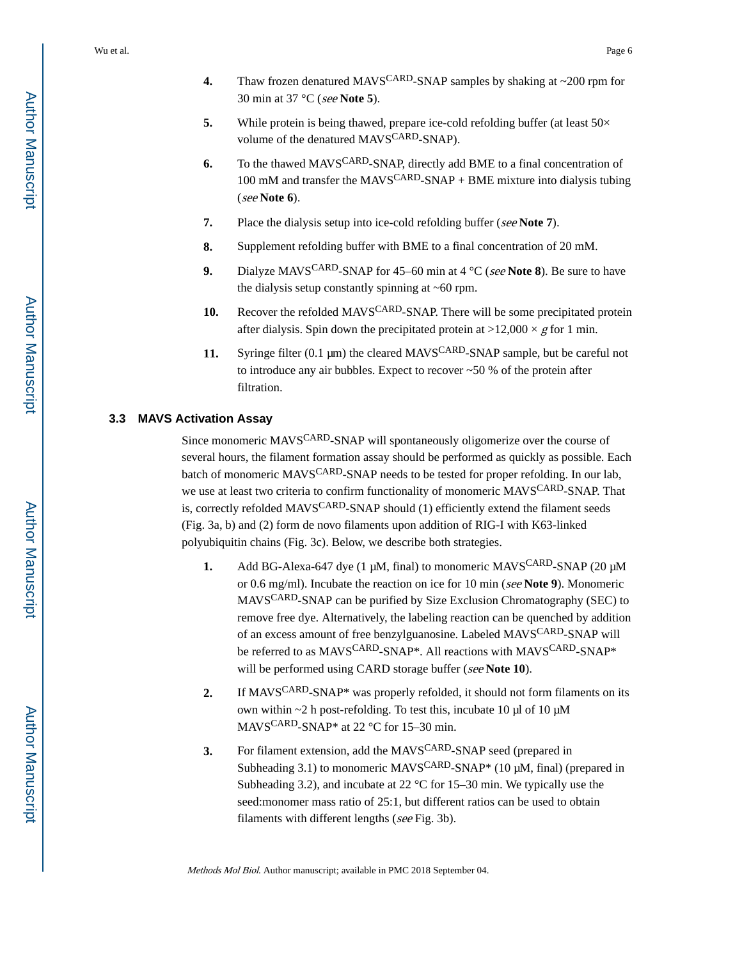- **4.** Thaw frozen denatured MAVSCARD-SNAP samples by shaking at ~200 rpm for 30 min at 37 °C (see **Note 5**).
- **5.** While protein is being thawed, prepare ice-cold refolding buffer (at least  $50 \times$ volume of the denatured MAVS<sup>CARD</sup>-SNAP).
- **6.** To the thawed MAVSCARD-SNAP, directly add BME to a final concentration of 100 mM and transfer the MAVS<sup>CARD</sup>-SNAP + BME mixture into dialysis tubing (see **Note 6**).
- **7.** Place the dialysis setup into ice-cold refolding buffer (see Note 7).
- **8.** Supplement refolding buffer with BME to a final concentration of 20 mM.
- **9.** Dialyze MAVSCARD-SNAP for 45–60 min at 4 °C (see **Note 8**). Be sure to have the dialysis setup constantly spinning at ~60 rpm.
- **10.** Recover the refolded MAVS<sup>CARD</sup>-SNAP. There will be some precipitated protein after dialysis. Spin down the precipitated protein at  $>12,000 \times g$  for 1 min.
- **11.** Syringe filter (0.1 μm) the cleared MAVSCARD-SNAP sample, but be careful not to introduce any air bubbles. Expect to recover  $~50$  % of the protein after filtration.

#### **3.3 MAVS Activation Assay**

Since monomeric MAVSCARD-SNAP will spontaneously oligomerize over the course of several hours, the filament formation assay should be performed as quickly as possible. Each batch of monomeric MAVSCARD-SNAP needs to be tested for proper refolding. In our lab, we use at least two criteria to confirm functionality of monomeric MAVS<sup>CARD</sup>-SNAP. That is, correctly refolded MAVS<sup>CARD</sup>-SNAP should (1) efficiently extend the filament seeds (Fig. 3a, b) and (2) form de novo filaments upon addition of RIG-I with K63-linked polyubiquitin chains (Fig. 3c). Below, we describe both strategies.

- **1.** Add BG-Alexa-647 dye (1 μM, final) to monomeric MAVSCARD-SNAP (20 μM or 0.6 mg/ml). Incubate the reaction on ice for 10 min (see **Note 9**). Monomeric MAVSCARD-SNAP can be purified by Size Exclusion Chromatography (SEC) to remove free dye. Alternatively, the labeling reaction can be quenched by addition of an excess amount of free benzylguanosine. Labeled MAVSCARD-SNAP will be referred to as MAVS<sup>CARD</sup>-SNAP<sup>\*</sup>. All reactions with MAVS<sup>CARD</sup>-SNAP<sup>\*</sup> will be performed using CARD storage buffer (see **Note 10**).
- **2.** If MAVSCARD-SNAP\* was properly refolded, it should not form filaments on its own within  $\sim$ 2 h post-refolding. To test this, incubate 10 μl of 10 μM MAVSCARD-SNAP\* at 22 °C for 15–30 min.
- **3.** For filament extension, add the MAVS<sup>CARD</sup>-SNAP seed (prepared in Subheading 3.1) to monomeric MAVS<sup>CARD</sup>-SNAP<sup>\*</sup> (10  $\mu$ M, final) (prepared in Subheading 3.2), and incubate at 22 °C for 15–30 min. We typically use the seed:monomer mass ratio of 25:1, but different ratios can be used to obtain filaments with different lengths (see Fig. 3b).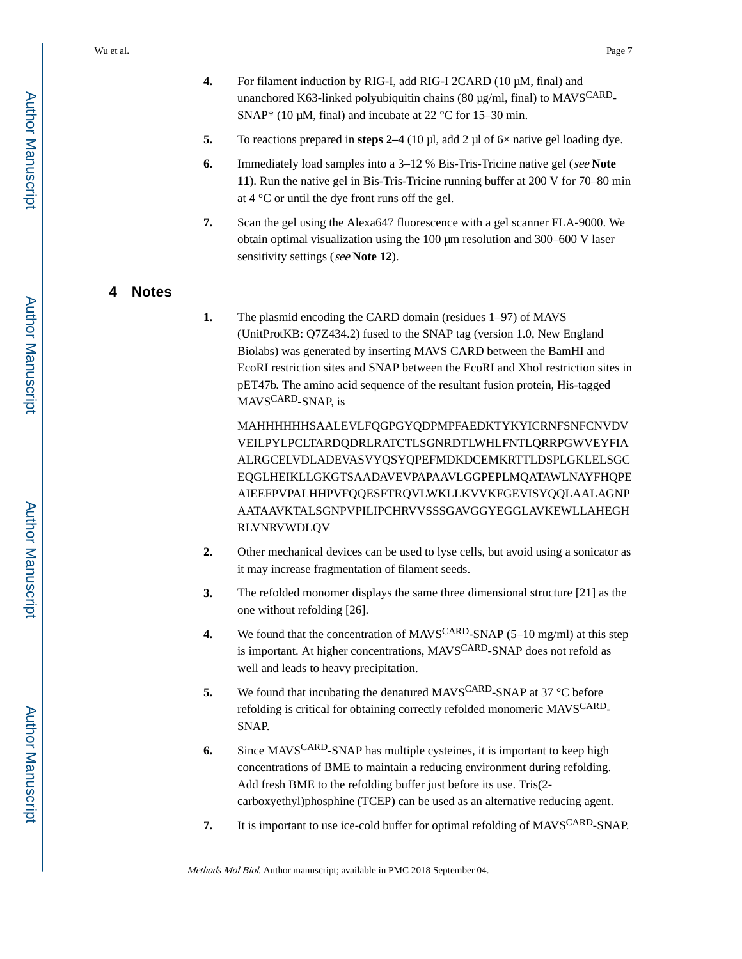- **4.** For filament induction by RIG-I, add RIG-I 2CARD (10 μM, final) and unanchored K63-linked polyubiquitin chains (80 μg/ml, final) to MAVSCARD-SNAP\* (10  $\mu$ M, final) and incubate at 22 °C for 15–30 min.
- **5.** To reactions prepared in **steps 2–4** (10 μl, add 2 μl of 6× native gel loading dye.
- **6.** Immediately load samples into a 3–12 % Bis-Tris-Tricine native gel (see **Note 11**). Run the native gel in Bis-Tris-Tricine running buffer at 200 V for 70–80 min at 4 °C or until the dye front runs off the gel.
- **7.** Scan the gel using the Alexa647 fluorescence with a gel scanner FLA-9000. We obtain optimal visualization using the 100 μm resolution and 300–600 V laser sensitivity settings (see **Note 12**).

# **4 Notes**

**1.** The plasmid encoding the CARD domain (residues 1–97) of MAVS (UnitProtKB: Q7Z434.2) fused to the SNAP tag (version 1.0, New England Biolabs) was generated by inserting MAVS CARD between the BamHI and EcoRI restriction sites and SNAP between the EcoRI and XhoI restriction sites in pET47b. The amino acid sequence of the resultant fusion protein, His-tagged MAVSCARD-SNAP, is

MAHHHHHHSAALEVLFQGPGYQDPMPFAEDKTYKYICRNFSNFCNVDV VEILPYLPCLTARDQDRLRATCTLSGNRDTLWHLFNTLQRRPGWVEYFIA ALRGCELVDLADEVASVYQSYQPEFMDKDCEMKRTTLDSPLGKLELSGC EQGLHEIKLLGKGTSAADAVEVPAPAAVLGGPEPLMQATAWLNAYFHQPE AIEEFPVPALHHPVFQQESFTRQVLWKLLKVVKFGEVISYQQLAALAGNP AATAAVKTALSGNPVPILIPCHRVVSSSGAVGGYEGGLAVKEWLLAHEGH RLVNRVWDLQV

- **2.** Other mechanical devices can be used to lyse cells, but avoid using a sonicator as it may increase fragmentation of filament seeds.
- **3.** The refolded monomer displays the same three dimensional structure [21] as the one without refolding [26].
- **4.** We found that the concentration of MAVSCARD-SNAP (5–10 mg/ml) at this step is important. At higher concentrations, MAVS<sup>CARD</sup>-SNAP does not refold as well and leads to heavy precipitation.
- **5.** We found that incubating the denatured MAVS<sup>CARD</sup>-SNAP at 37 °C before refolding is critical for obtaining correctly refolded monomeric MAVS<sup>CARD</sup>-SNAP.
- **6.** Since MAVSCARD-SNAP has multiple cysteines, it is important to keep high concentrations of BME to maintain a reducing environment during refolding. Add fresh BME to the refolding buffer just before its use. Tris(2 carboxyethyl)phosphine (TCEP) can be used as an alternative reducing agent.
- **7.** It is important to use ice-cold buffer for optimal refolding of MAVSCARD-SNAP.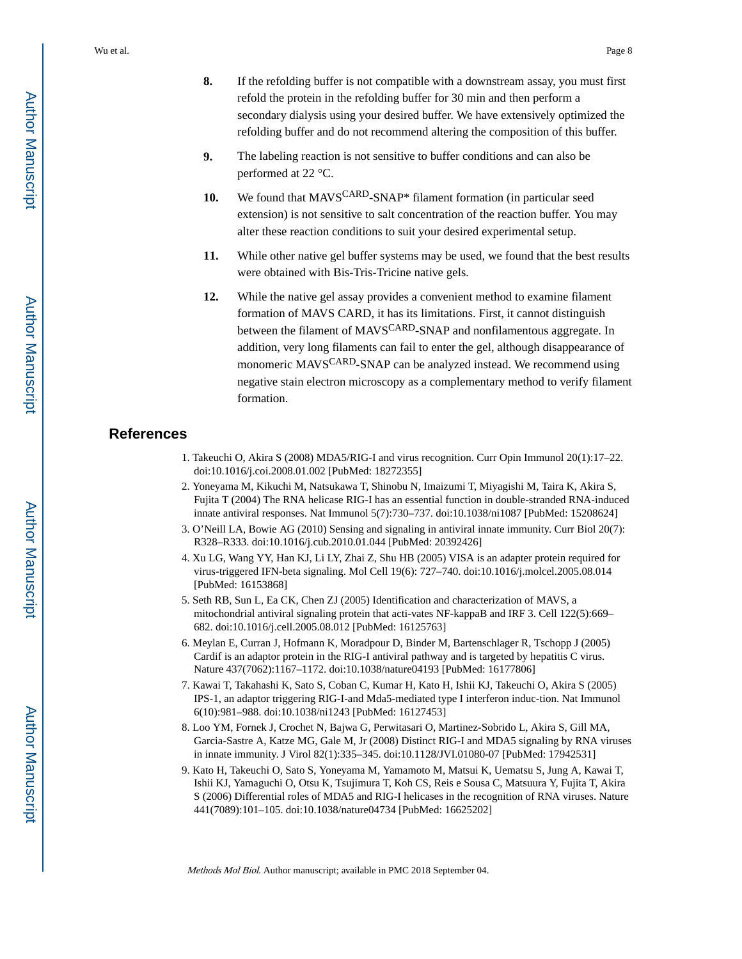- **8.** If the refolding buffer is not compatible with a downstream assay, you must first refold the protein in the refolding buffer for 30 min and then perform a secondary dialysis using your desired buffer. We have extensively optimized the refolding buffer and do not recommend altering the composition of this buffer.
- **9.** The labeling reaction is not sensitive to buffer conditions and can also be performed at 22 °C.
- 10. We found that MAVS<sup>CARD</sup>-SNAP<sup>\*</sup> filament formation (in particular seed extension) is not sensitive to salt concentration of the reaction buffer. You may alter these reaction conditions to suit your desired experimental setup.
- **11.** While other native gel buffer systems may be used, we found that the best results were obtained with Bis-Tris-Tricine native gels.
- **12.** While the native gel assay provides a convenient method to examine filament formation of MAVS CARD, it has its limitations. First, it cannot distinguish between the filament of MAVS<sup>CARD</sup>-SNAP and nonfilamentous aggregate. In addition, very long filaments can fail to enter the gel, although disappearance of monomeric MAVSCARD-SNAP can be analyzed instead. We recommend using negative stain electron microscopy as a complementary method to verify filament formation.

# **References**

- 1. Takeuchi O, Akira S (2008) MDA5/RIG-I and virus recognition. Curr Opin Immunol 20(1):17–22. doi:10.1016/j.coi.2008.01.002 [PubMed: 18272355]
- 2. Yoneyama M, Kikuchi M, Natsukawa T, Shinobu N, Imaizumi T, Miyagishi M, Taira K, Akira S, Fujita T (2004) The RNA helicase RIG-I has an essential function in double-stranded RNA-induced innate antiviral responses. Nat Immunol 5(7):730–737. doi:10.1038/ni1087 [PubMed: 15208624]
- 3. O'Neill LA, Bowie AG (2010) Sensing and signaling in antiviral innate immunity. Curr Biol 20(7): R328–R333. doi:10.1016/j.cub.2010.01.044 [PubMed: 20392426]
- 4. Xu LG, Wang YY, Han KJ, Li LY, Zhai Z, Shu HB (2005) VISA is an adapter protein required for virus-triggered IFN-beta signaling. Mol Cell 19(6): 727–740. doi:10.1016/j.molcel.2005.08.014 [PubMed: 16153868]
- 5. Seth RB, Sun L, Ea CK, Chen ZJ (2005) Identification and characterization of MAVS, a mitochondrial antiviral signaling protein that acti-vates NF-kappaB and IRF 3. Cell 122(5):669– 682. doi:10.1016/j.cell.2005.08.012 [PubMed: 16125763]
- 6. Meylan E, Curran J, Hofmann K, Moradpour D, Binder M, Bartenschlager R, Tschopp J (2005) Cardif is an adaptor protein in the RIG-I antiviral pathway and is targeted by hepatitis C virus. Nature 437(7062):1167–1172. doi:10.1038/nature04193 [PubMed: 16177806]
- 7. Kawai T, Takahashi K, Sato S, Coban C, Kumar H, Kato H, Ishii KJ, Takeuchi O, Akira S (2005) IPS-1, an adaptor triggering RIG-I-and Mda5-mediated type I interferon induc-tion. Nat Immunol 6(10):981–988. doi:10.1038/ni1243 [PubMed: 16127453]
- 8. Loo YM, Fornek J, Crochet N, Bajwa G, Perwitasari O, Martinez-Sobrido L, Akira S, Gill MA, Garcia-Sastre A, Katze MG, Gale M, Jr (2008) Distinct RIG-I and MDA5 signaling by RNA viruses in innate immunity. J Virol 82(1):335–345. doi:10.1128/JVI.01080-07 [PubMed: 17942531]
- 9. Kato H, Takeuchi O, Sato S, Yoneyama M, Yamamoto M, Matsui K, Uematsu S, Jung A, Kawai T, Ishii KJ, Yamaguchi O, Otsu K, Tsujimura T, Koh CS, Reis e Sousa C, Matsuura Y, Fujita T, Akira S (2006) Differential roles of MDA5 and RIG-I helicases in the recognition of RNA viruses. Nature 441(7089):101–105. doi:10.1038/nature04734 [PubMed: 16625202]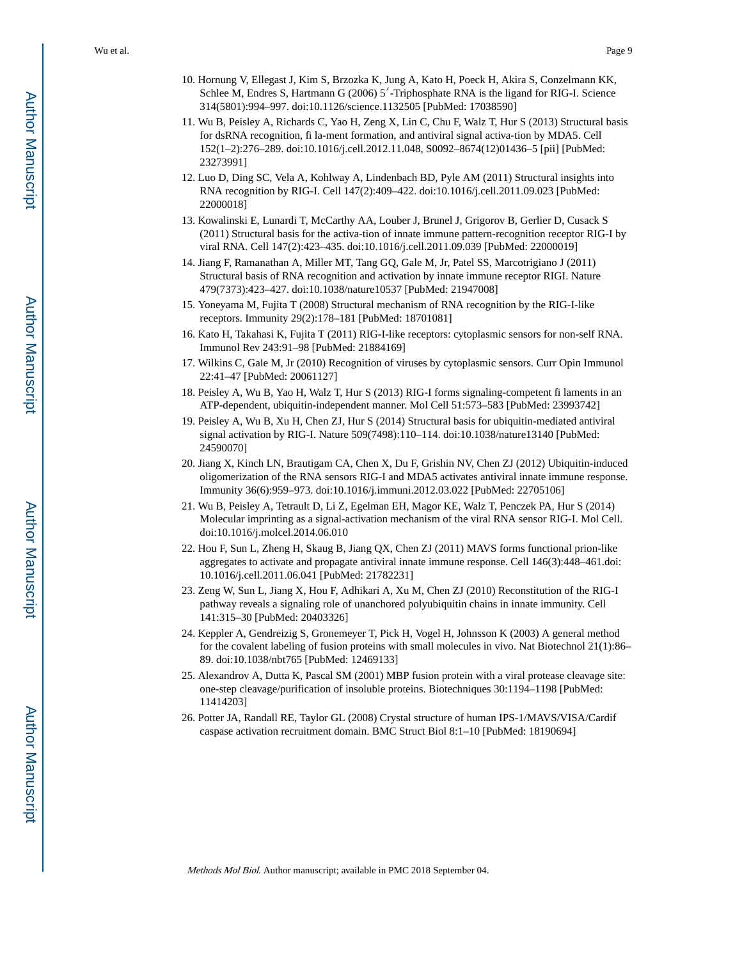- 10. Hornung V, Ellegast J, Kim S, Brzozka K, Jung A, Kato H, Poeck H, Akira S, Conzelmann KK, Schlee M, Endres S, Hartmann G (2006) 5′-Triphosphate RNA is the ligand for RIG-I. Science 314(5801):994–997. doi:10.1126/science.1132505 [PubMed: 17038590]
- 11. Wu B, Peisley A, Richards C, Yao H, Zeng X, Lin C, Chu F, Walz T, Hur S (2013) Structural basis for dsRNA recognition, fi la-ment formation, and antiviral signal activa-tion by MDA5. Cell 152(1–2):276–289. doi:10.1016/j.cell.2012.11.048, S0092–8674(12)01436–5 [pii] [PubMed: 23273991]
- 12. Luo D, Ding SC, Vela A, Kohlway A, Lindenbach BD, Pyle AM (2011) Structural insights into RNA recognition by RIG-I. Cell 147(2):409–422. doi:10.1016/j.cell.2011.09.023 [PubMed: 22000018]
- 13. Kowalinski E, Lunardi T, McCarthy AA, Louber J, Brunel J, Grigorov B, Gerlier D, Cusack S (2011) Structural basis for the activa-tion of innate immune pattern-recognition receptor RIG-I by viral RNA. Cell 147(2):423–435. doi:10.1016/j.cell.2011.09.039 [PubMed: 22000019]
- 14. Jiang F, Ramanathan A, Miller MT, Tang GQ, Gale M, Jr, Patel SS, Marcotrigiano J (2011) Structural basis of RNA recognition and activation by innate immune receptor RIGI. Nature 479(7373):423–427. doi:10.1038/nature10537 [PubMed: 21947008]
- 15. Yoneyama M, Fujita T (2008) Structural mechanism of RNA recognition by the RIG-I-like receptors. Immunity 29(2):178–181 [PubMed: 18701081]
- 16. Kato H, Takahasi K, Fujita T (2011) RIG-I-like receptors: cytoplasmic sensors for non-self RNA. Immunol Rev 243:91–98 [PubMed: 21884169]
- 17. Wilkins C, Gale M, Jr (2010) Recognition of viruses by cytoplasmic sensors. Curr Opin Immunol 22:41–47 [PubMed: 20061127]
- 18. Peisley A, Wu B, Yao H, Walz T, Hur S (2013) RIG-I forms signaling-competent fi laments in an ATP-dependent, ubiquitin-independent manner. Mol Cell 51:573–583 [PubMed: 23993742]
- 19. Peisley A, Wu B, Xu H, Chen ZJ, Hur S (2014) Structural basis for ubiquitin-mediated antiviral signal activation by RIG-I. Nature 509(7498):110–114. doi:10.1038/nature13140 [PubMed: 24590070]
- 20. Jiang X, Kinch LN, Brautigam CA, Chen X, Du F, Grishin NV, Chen ZJ (2012) Ubiquitin-induced oligomerization of the RNA sensors RIG-I and MDA5 activates antiviral innate immune response. Immunity 36(6):959–973. doi:10.1016/j.immuni.2012.03.022 [PubMed: 22705106]
- 21. Wu B, Peisley A, Tetrault D, Li Z, Egelman EH, Magor KE, Walz T, Penczek PA, Hur S (2014) Molecular imprinting as a signal-activation mechanism of the viral RNA sensor RIG-I. Mol Cell. doi:10.1016/j.molcel.2014.06.010
- 22. Hou F, Sun L, Zheng H, Skaug B, Jiang QX, Chen ZJ (2011) MAVS forms functional prion-like aggregates to activate and propagate antiviral innate immune response. Cell 146(3):448–461.doi: 10.1016/j.cell.2011.06.041 [PubMed: 21782231]
- 23. Zeng W, Sun L, Jiang X, Hou F, Adhikari A, Xu M, Chen ZJ (2010) Reconstitution of the RIG-I pathway reveals a signaling role of unanchored polyubiquitin chains in innate immunity. Cell 141:315–30 [PubMed: 20403326]
- 24. Keppler A, Gendreizig S, Gronemeyer T, Pick H, Vogel H, Johnsson K (2003) A general method for the covalent labeling of fusion proteins with small molecules in vivo. Nat Biotechnol 21(1):86– 89. doi:10.1038/nbt765 [PubMed: 12469133]
- 25. Alexandrov A, Dutta K, Pascal SM (2001) MBP fusion protein with a viral protease cleavage site: one-step cleavage/purification of insoluble proteins. Biotechniques 30:1194–1198 [PubMed: 11414203]
- 26. Potter JA, Randall RE, Taylor GL (2008) Crystal structure of human IPS-1/MAVS/VISA/Cardif caspase activation recruitment domain. BMC Struct Biol 8:1–10 [PubMed: 18190694]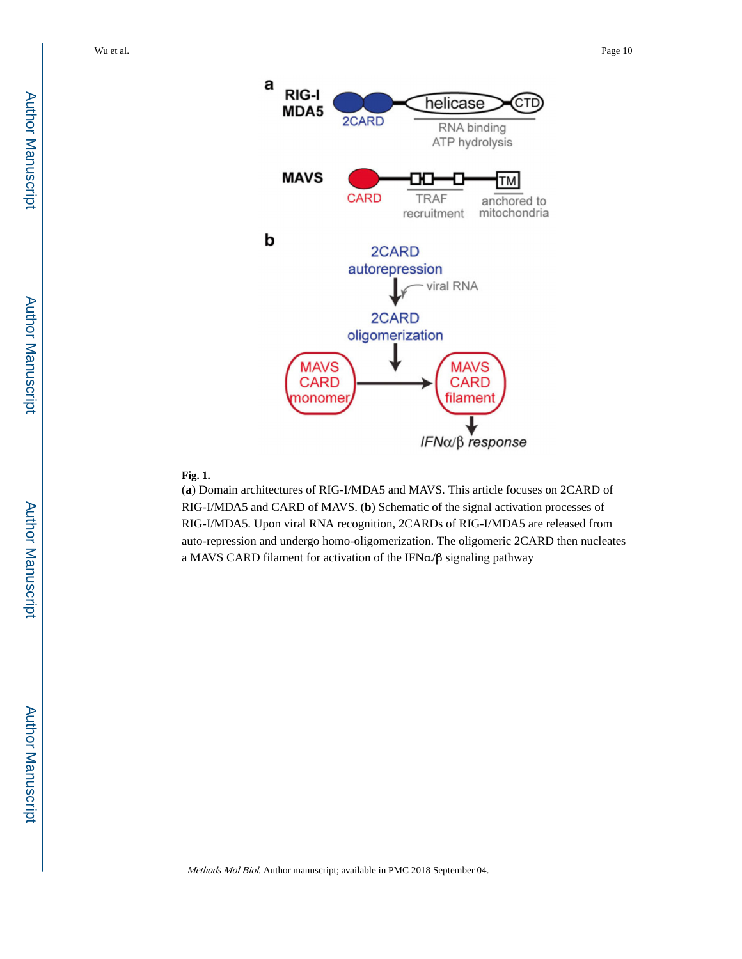



# **Fig. 1.**

(**a**) Domain architectures of RIG-I/MDA5 and MAVS. This article focuses on 2CARD of RIG-I/MDA5 and CARD of MAVS. (**b**) Schematic of the signal activation processes of RIG-I/MDA5. Upon viral RNA recognition, 2CARDs of RIG-I/MDA5 are released from auto-repression and undergo homo-oligomerization. The oligomeric 2CARD then nucleates a MAVS CARD filament for activation of the IFNα/β signaling pathway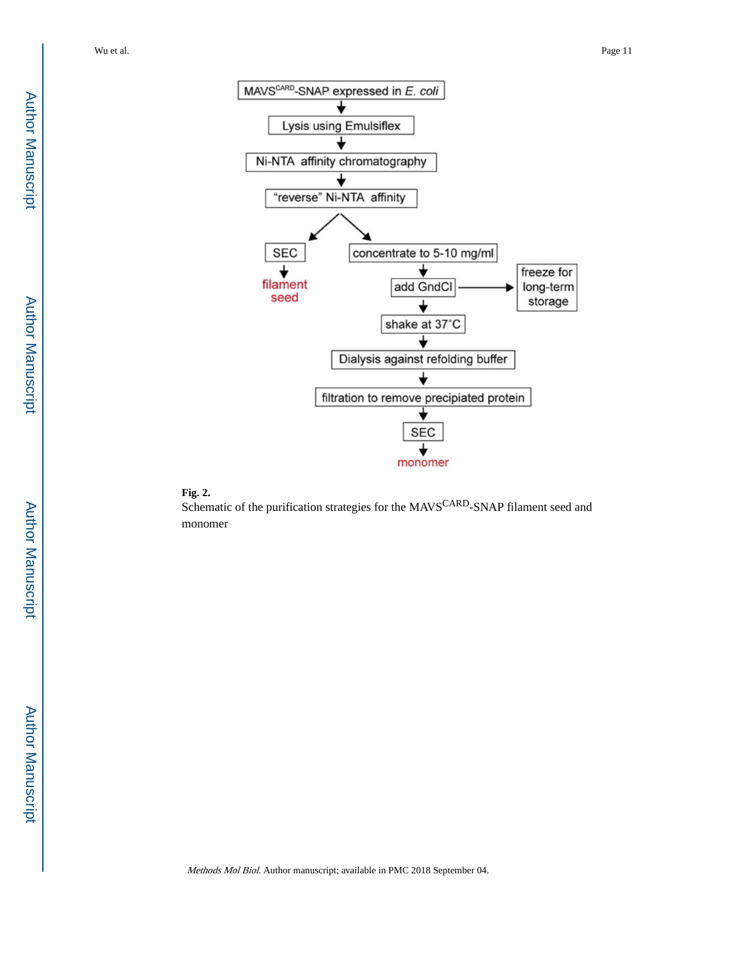



Schematic of the purification strategies for the MAVS<sup>CARD</sup>-SNAP filament seed and monomer